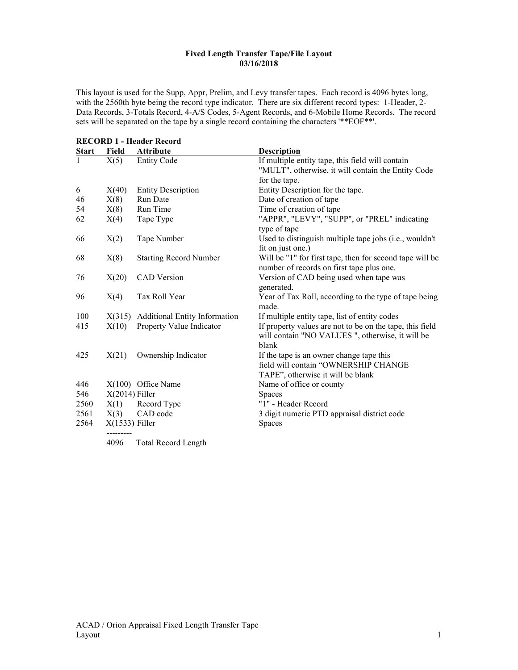## Fixed Length Transfer Tape/File Layout 03/16/2018

This layout is used for the Supp, Appr, Prelim, and Levy transfer tapes. Each record is 4096 bytes long, with the 2560th byte being the record type indicator. There are six different record types: 1-Header, 2- Data Records, 3-Totals Record, 4-A/S Codes, 5-Agent Records, and 6-Mobile Home Records. The record sets will be separated on the tape by a single record containing the characters '\*\*EOF\*\*'.

|              |                  | <b>RECORD 1 - Header Record</b>      |                                                                                                                       |
|--------------|------------------|--------------------------------------|-----------------------------------------------------------------------------------------------------------------------|
| <b>Start</b> | Field            | <b>Attribute</b>                     | <b>Description</b>                                                                                                    |
| $\mathbf{1}$ | X(5)             | <b>Entity Code</b>                   | If multiple entity tape, this field will contain                                                                      |
|              |                  |                                      | "MULT", otherwise, it will contain the Entity Code                                                                    |
|              |                  |                                      | for the tape.                                                                                                         |
| 6            | X(40)            | <b>Entity Description</b>            | Entity Description for the tape.                                                                                      |
| 46           | X(8)             | Run Date                             | Date of creation of tape                                                                                              |
| 54           | X(8)             | Run Time                             | Time of creation of tape                                                                                              |
| 62           | X(4)             | Tape Type                            | "APPR", "LEVY", "SUPP", or "PREL" indicating<br>type of tape                                                          |
| 66           | X(2)             | Tape Number                          | Used to distinguish multiple tape jobs (i.e., wouldn't<br>fit on just one.)                                           |
| 68           | X(8)             | <b>Starting Record Number</b>        | Will be "1" for first tape, then for second tape will be<br>number of records on first tape plus one.                 |
| 76           | X(20)            | <b>CAD</b> Version                   | Version of CAD being used when tape was<br>generated.                                                                 |
| 96           | X(4)             | Tax Roll Year                        | Year of Tax Roll, according to the type of tape being<br>made.                                                        |
| 100          |                  | X(315) Additional Entity Information | If multiple entity tape, list of entity codes                                                                         |
| 415          | X(10)            | Property Value Indicator             | If property values are not to be on the tape, this field<br>will contain "NO VALUES ", otherwise, it will be<br>blank |
| 425          | X(21)            | Ownership Indicator                  | If the tape is an owner change tape this<br>field will contain "OWNERSHIP CHANGE<br>TAPE", otherwise it will be blank |
| 446          |                  | $X(100)$ Office Name                 | Name of office or county                                                                                              |
| 546          | $X(2014)$ Filler |                                      | <b>Spaces</b>                                                                                                         |
| 2560         | X(1)             | Record Type                          | "1" - Header Record                                                                                                   |
| 2561         | X(3)             | CAD code                             | 3 digit numeric PTD appraisal district code                                                                           |
| 2564         | $X(1533)$ Filler |                                      | Spaces                                                                                                                |
|              | 4096             | <b>Total Record Length</b>           |                                                                                                                       |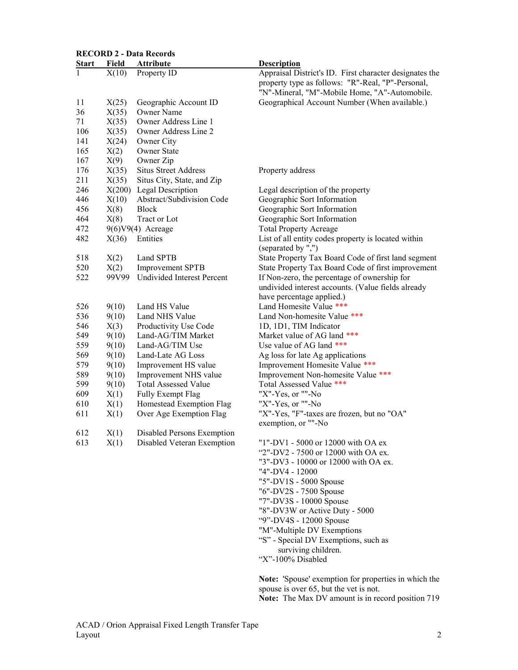|              |       | <b>RECORD 2 - Data Records</b>   |                                                         |
|--------------|-------|----------------------------------|---------------------------------------------------------|
| <b>Start</b> | Field | <b>Attribute</b>                 | <b>Description</b>                                      |
| $\mathbf{1}$ | X(10) | Property ID                      | Appraisal District's ID. First character designates the |
|              |       |                                  | property type as follows: "R"-Real, "P"-Personal,       |
|              |       |                                  | "N"-Mineral, "M"-Mobile Home, "A"-Automobile.           |
| 11           | X(25) | Geographic Account ID            | Geographical Account Number (When available.)           |
| 36           | X(35) | Owner Name                       |                                                         |
| 71           | X(35) | Owner Address Line 1             |                                                         |
| 106          | X(35) | Owner Address Line 2             |                                                         |
| 141          | X(24) | Owner City                       |                                                         |
| 165          | X(2)  | <b>Owner State</b>               |                                                         |
| 167          | X(9)  | Owner Zip                        |                                                         |
| 176          | X(35) | <b>Situs Street Address</b>      | Property address                                        |
| 211          | X(35) | Situs City, State, and Zip       |                                                         |
| 246          |       | $X(200)$ Legal Description       | Legal description of the property                       |
| 446          | X(10) | Abstract/Subdivision Code        | Geographic Sort Information                             |
| 456          | X(8)  | <b>Block</b>                     | Geographic Sort Information                             |
| 464          | X(8)  | Tract or Lot                     | Geographic Sort Information                             |
| 472          |       | 9(6)V9(4) Acreage                | <b>Total Property Acreage</b>                           |
| 482          | X(36) | Entities                         | List of all entity codes property is located within     |
|              |       |                                  | (separated by ",")                                      |
| 518          | X(2)  | Land SPTB                        | State Property Tax Board Code of first land segment     |
| 520          | X(2)  | <b>Improvement SPTB</b>          | State Property Tax Board Code of first improvement      |
| 522          |       | 99V99 Undivided Interest Percent | If Non-zero, the percentage of ownership for            |
|              |       |                                  | undivided interest accounts. (Value fields already      |
|              |       |                                  | have percentage applied.)                               |
| 526          | 9(10) | Land HS Value                    | Land Homesite Value ***                                 |
| 536          | 9(10) | Land NHS Value                   | Land Non-homesite Value ***                             |
| 546          | X(3)  | Productivity Use Code            | 1D, 1D1, TIM Indicator                                  |
| 549          | 9(10) | Land-AG/TIM Market               | Market value of AG land ***                             |
| 559          | 9(10) | Land-AG/TIM Use                  | Use value of AG land ***                                |
| 569          | 9(10) | Land-Late AG Loss                | Ag loss for late Ag applications                        |
| 579          | 9(10) | Improvement HS value             | Improvement Homesite Value ***                          |
| 589          | 9(10) | Improvement NHS value            | Improvement Non-homesite Value ***                      |
| 599          | 9(10) | <b>Total Assessed Value</b>      | Total Assessed Value ***                                |
| 609          | X(1)  | Fully Exempt Flag                | "X"-Yes, or ""-No                                       |
| 610          | X(1)  | Homestead Exemption Flag         | "X"-Yes, or ""-No                                       |
| 611          | X(1)  | Over Age Exemption Flag          | "X"-Yes, "F"-taxes are frozen, but no "OA"              |
|              |       |                                  | exemption, or ""-No                                     |
| 612          | X(1)  | Disabled Persons Exemption       |                                                         |
| 613          | X(1)  | Disabled Veteran Exemption       | "1"-DV1 - 5000 or 12000 with OA ex                      |
|              |       |                                  | "2"-DV2 - 7500 or 12000 with OA ex.                     |
|              |       |                                  | "3"-DV3 - 10000 or 12000 with OA ex.                    |
|              |       |                                  | "4"-DV4 - 12000                                         |
|              |       |                                  | "5"-DV1S - 5000 Spouse                                  |
|              |       |                                  | "6"-DV2S - 7500 Spouse                                  |
|              |       |                                  | "7"-DV3S - 10000 Spouse                                 |
|              |       |                                  | "8"-DV3W or Active Duty - 5000                          |
|              |       |                                  | "9"-DV4S - 12000 Spouse                                 |
|              |       |                                  | "M"-Multiple DV Exemptions                              |
|              |       |                                  | "S" - Special DV Exemptions, such as                    |
|              |       |                                  | surviving children.                                     |
|              |       |                                  | "X"-100% Disabled                                       |
|              |       |                                  | Note: 'Spouse' exemption for properties in which the    |
|              |       |                                  | spouse is over 65, but the vet is not.                  |
|              |       |                                  | Note: The Max DV amount is in record position 719       |
|              |       |                                  |                                                         |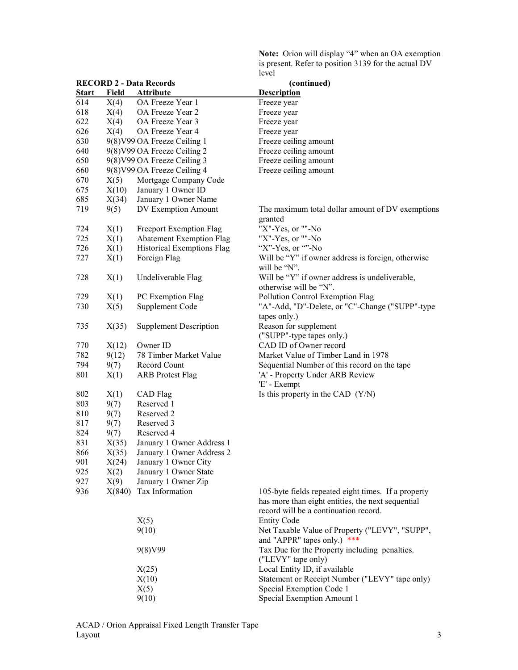Note: Orion will display "4" when an OA exemption is present. Refer to position 3139 for the actual DV level

|              |       | <b>RECORD 2 - Data Records</b>  | (continued)                                                                   |  |
|--------------|-------|---------------------------------|-------------------------------------------------------------------------------|--|
| <b>Start</b> | Field | <b>Attribute</b>                | <b>Description</b>                                                            |  |
| 614          | X(4)  | OA Freeze Year 1                | Freeze year                                                                   |  |
| 618          | X(4)  | OA Freeze Year 2                | Freeze year                                                                   |  |
| 622          | X(4)  | OA Freeze Year 3                | Freeze year                                                                   |  |
| 626          | X(4)  | OA Freeze Year 4                | Freeze year                                                                   |  |
| 630          |       | 9(8) V99 OA Freeze Ceiling 1    | Freeze ceiling amount                                                         |  |
| 640          |       | 9(8) V99 OA Freeze Ceiling 2    | Freeze ceiling amount                                                         |  |
| 650          |       | 9(8) V99 OA Freeze Ceiling 3    | Freeze ceiling amount                                                         |  |
| 660          |       | 9(8) V99 OA Freeze Ceiling 4    | Freeze ceiling amount                                                         |  |
| 670          | X(5)  | Mortgage Company Code           |                                                                               |  |
| 675          | X(10) | January 1 Owner ID              |                                                                               |  |
| 685          | X(34) | January 1 Owner Name            |                                                                               |  |
| 719          | 9(5)  | DV Exemption Amount             | The maximum total dollar amount of DV exemptions                              |  |
|              |       |                                 | granted                                                                       |  |
| 724          | X(1)  | Freeport Exemption Flag         | "X"-Yes, or ""-No                                                             |  |
| 725          | X(1)  | <b>Abatement Exemption Flag</b> | "X"-Yes, or ""-No                                                             |  |
| 726          | X(1)  | Historical Exemptions Flag      | "X"-Yes, or ""-No                                                             |  |
| 727          | X(1)  | Foreign Flag                    | Will be "Y" if owner address is foreign, otherwise                            |  |
|              |       |                                 | will be "N".                                                                  |  |
| 728          | X(1)  | Undeliverable Flag              | Will be "Y" if owner address is undeliverable,<br>otherwise will be "N".      |  |
| 729          | X(1)  | PC Exemption Flag               | Pollution Control Exemption Flag                                              |  |
| 730          | X(5)  | Supplement Code                 | "A"-Add, "D"-Delete, or "C"-Change ("SUPP"-type<br>tapes only.)               |  |
| 735          | X(35) | <b>Supplement Description</b>   | Reason for supplement<br>("SUPP"-type tapes only.)                            |  |
| 770          | X(12) | Owner ID                        | CAD ID of Owner record                                                        |  |
| 782          | 9(12) | 78 Timber Market Value          | Market Value of Timber Land in 1978                                           |  |
| 794          | 9(7)  | Record Count                    | Sequential Number of this record on the tape                                  |  |
| 801          |       |                                 | 'A' - Property Under ARB Review                                               |  |
|              | X(1)  | <b>ARB</b> Protest Flag         | 'E' - Exempt                                                                  |  |
| 802          | X(1)  | CAD Flag                        | Is this property in the CAD (Y/N)                                             |  |
| 803          | 9(7)  | Reserved 1                      |                                                                               |  |
| 810          | 9(7)  | Reserved 2                      |                                                                               |  |
| 817          | 9(7)  | Reserved 3                      |                                                                               |  |
| 824          | 9(7)  | Reserved 4                      |                                                                               |  |
| 831          | X(35) | January 1 Owner Address 1       |                                                                               |  |
| 866          | X(35) | January 1 Owner Address 2       |                                                                               |  |
| 901          | X(24) | January 1 Owner City            |                                                                               |  |
| 925          | X(2)  | January 1 Owner State           |                                                                               |  |
| 927          | X(9)  | January 1 Owner Zip             |                                                                               |  |
| 936          |       | X(840) Tax Information          | 105-byte fields repeated eight times. If a property                           |  |
|              |       |                                 | has more than eight entities, the next sequential                             |  |
|              |       |                                 | record will be a continuation record.                                         |  |
|              |       | X(5)                            | <b>Entity Code</b>                                                            |  |
|              |       | 9(10)                           | Net Taxable Value of Property ("LEVY", "SUPP",<br>and "APPR" tapes only.) *** |  |
|              |       | 9(8)V99                         | Tax Due for the Property including penalties.<br>("LEVY" tape only)           |  |
|              |       | X(25)                           | Local Entity ID, if available                                                 |  |
|              |       | X(10)                           | Statement or Receipt Number ("LEVY" tape only)                                |  |
|              |       | X(5)                            | Special Exemption Code 1                                                      |  |
|              |       | 9(10)                           | Special Exemption Amount 1                                                    |  |
|              |       |                                 |                                                                               |  |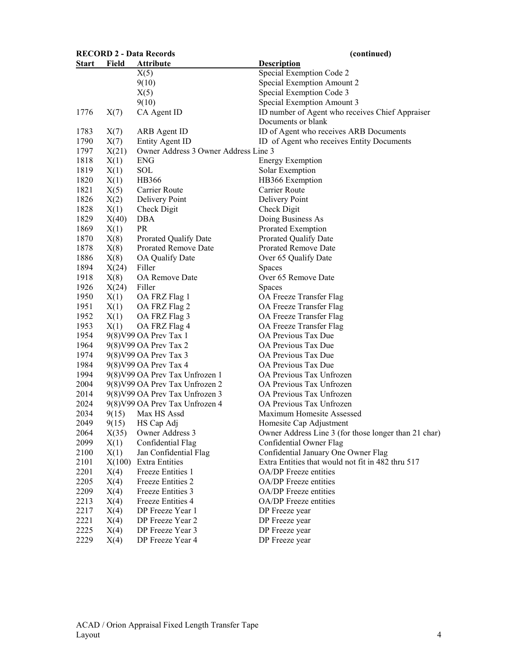| <b>RECORD 2 - Data Records</b> |              |                                                | (continued)                                                                     |
|--------------------------------|--------------|------------------------------------------------|---------------------------------------------------------------------------------|
| <u>Start</u>                   | <b>Field</b> | <u>Attribute</u>                               | <b>Description</b>                                                              |
|                                |              | X(5)                                           | Special Exemption Code 2                                                        |
|                                |              | 9(10)                                          | Special Exemption Amount 2                                                      |
|                                |              | X(5)                                           | Special Exemption Code 3                                                        |
|                                |              | 9(10)                                          | Special Exemption Amount 3                                                      |
| 1776                           | X(7)         | CA Agent ID                                    | ID number of Agent who receives Chief Appraiser                                 |
|                                |              |                                                | Documents or blank                                                              |
| 1783                           | X(7)         | ARB Agent ID                                   | ID of Agent who receives ARB Documents                                          |
| 1790                           | X(7)         | <b>Entity Agent ID</b>                         | ID of Agent who receives Entity Documents                                       |
| 1797                           | X(21)        | Owner Address 3 Owner Address Line 3           |                                                                                 |
| 1818                           | X(1)         | <b>ENG</b>                                     | <b>Energy Exemption</b>                                                         |
| 1819                           | X(1)         | SOL                                            | Solar Exemption                                                                 |
| 1820                           | X(1)         | HB366                                          | HB366 Exemption                                                                 |
| 1821                           | X(5)         | Carrier Route                                  | Carrier Route                                                                   |
| 1826                           | X(2)         | Delivery Point                                 | Delivery Point                                                                  |
| 1828                           | X(1)         | Check Digit                                    | Check Digit                                                                     |
| 1829                           | X(40)        | DBA                                            | Doing Business As                                                               |
| 1869                           | X(1)         | <b>PR</b>                                      | Prorated Exemption                                                              |
| 1870                           | X(8)         | Prorated Qualify Date                          | Prorated Qualify Date                                                           |
| 1878                           | X(8)         | <b>Prorated Remove Date</b>                    | <b>Prorated Remove Date</b>                                                     |
| 1886                           | X(8)         | OA Qualify Date                                | Over 65 Qualify Date                                                            |
| 1894                           | X(24)        | Filler                                         | Spaces                                                                          |
| 1918                           | X(8)         | OA Remove Date                                 | Over 65 Remove Date                                                             |
| 1926                           | X(24)        | Filler                                         | Spaces                                                                          |
| 1950                           | X(1)         | OA FRZ Flag 1                                  | OA Freeze Transfer Flag                                                         |
| 1951                           | X(1)         | OA FRZ Flag 2                                  | OA Freeze Transfer Flag                                                         |
| 1952                           | X(1)         | OA FRZ Flag 3                                  | OA Freeze Transfer Flag                                                         |
| 1953                           | X(1)         | OA FRZ Flag 4                                  | OA Freeze Transfer Flag                                                         |
| 1954                           |              | 9(8) V99 OA Prev Tax 1                         | OA Previous Tax Due                                                             |
| 1964                           |              | 9(8) V99 OA Prev Tax 2                         | OA Previous Tax Due                                                             |
| 1974                           |              | 9(8) V99 OA Prev Tax 3                         | OA Previous Tax Due                                                             |
| 1984                           |              | 9(8) V99 OA Prev Tax 4                         | OA Previous Tax Due                                                             |
| 1994                           |              | 9(8) V99 OA Prev Tax Unfrozen 1                | OA Previous Tax Unfrozen                                                        |
| 2004                           |              | 9(8) V99 OA Prev Tax Unfrozen 2                | OA Previous Tax Unfrozen                                                        |
| 2014                           |              | 9(8) V99 OA Prev Tax Unfrozen 3                | OA Previous Tax Unfrozen                                                        |
| 2024                           |              | 9(8) V99 OA Prev Tax Unfrozen 4                | OA Previous Tax Unfrozen                                                        |
| 2034                           | 9(15)        | Max HS Assd                                    | Maximum Homesite Assessed                                                       |
| 2049                           |              | 9(15) HS Cap Adj                               |                                                                                 |
| 2064                           | X(35)        | Owner Address 3                                | Homesite Cap Adjustment<br>Owner Address Line 3 (for those longer than 21 char) |
| 2099                           |              |                                                | Confidential Owner Flag                                                         |
| 2100                           | X(1)         | Confidential Flag                              | Confidential January One Owner Flag                                             |
| 2101                           | X(1)         | Jan Confidential Flag<br><b>Extra Entities</b> | Extra Entities that would not fit in 482 thru 517                               |
| 2201                           | X(100)       | Freeze Entities 1                              | OA/DP Freeze entities                                                           |
|                                | X(4)         |                                                |                                                                                 |
| 2205                           | X(4)         | Freeze Entities 2                              | OA/DP Freeze entities                                                           |
| 2209                           | X(4)         | Freeze Entities 3                              | OA/DP Freeze entities                                                           |
| 2213                           | X(4)         | Freeze Entities 4                              | OA/DP Freeze entities                                                           |
| 2217                           | X(4)         | DP Freeze Year 1                               | DP Freeze year                                                                  |
| 2221                           | X(4)         | DP Freeze Year 2                               | DP Freeze year                                                                  |
| 2225                           | X(4)         | DP Freeze Year 3                               | DP Freeze year                                                                  |
| 2229                           | X(4)         | DP Freeze Year 4                               | DP Freeze year                                                                  |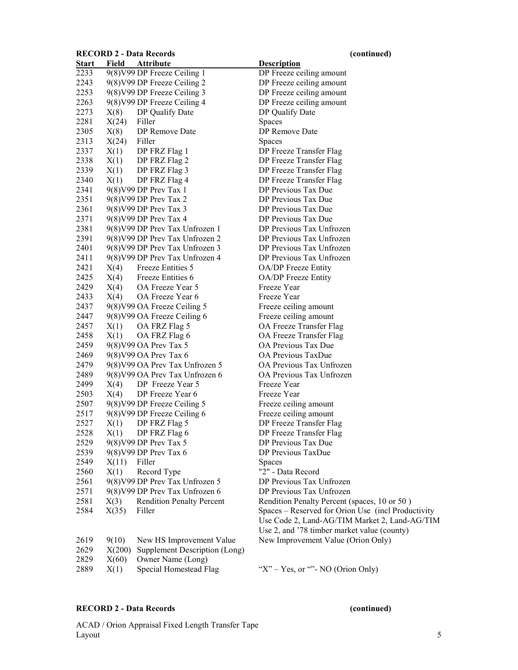### RECORD 2 - Data Records (continued)

| <u>Start</u> | Field | <b>Attribute</b>                 | <b>Description</b>                  |
|--------------|-------|----------------------------------|-------------------------------------|
| 2233         |       | 9(8) V99 DP Freeze Ceiling 1     | DP Freeze ceiling amount            |
| 2243         |       | 9(8) V99 DP Freeze Ceiling 2     | DP Freeze ceiling amount            |
| 2253         |       | 9(8) V99 DP Freeze Ceiling 3     | DP Freeze ceiling amount            |
| 2263         |       | 9(8) V99 DP Freeze Ceiling 4     | DP Freeze ceiling amount            |
| 2273         | X(8)  | DP Qualify Date                  | DP Qualify Date                     |
| 2281         | X(24) | Filler                           | Spaces                              |
| 2305         | X(8)  | DP Remove Date                   | DP Remove Date                      |
| 2313         | X(24) | Filler                           | Spaces                              |
| 2337         | X(1)  | DP FRZ Flag 1                    | DP Freeze Transfer Flag             |
| 2338         |       | $X(1)$ DP FRZ Flag 2             | DP Freeze Transfer Flag             |
| 2339         | X(1)  | DP FRZ Flag 3                    | DP Freeze Transfer Flag             |
| 2340         | X(1)  | DP FRZ Flag 4                    | DP Freeze Transfer Flag             |
| 2341         |       | 9(8) V99 DP Prev Tax 1           | DP Previous Tax Due                 |
| 2351         |       | 9(8) V99 DP Prev Tax 2           | DP Previous Tax Due                 |
| 2361         |       | 9(8) V99 DP Prev Tax 3           | DP Previous Tax Due                 |
| 2371         |       | 9(8) V99 DP Prev Tax 4           | DP Previous Tax Due                 |
| 2381         |       | 9(8) V99 DP Prev Tax Unfrozen 1  | DP Previous Tax Unfrozen            |
| 2391         |       | 9(8) V99 DP Prev Tax Unfrozen 2  | DP Previous Tax Unfrozen            |
| 2401         |       | 9(8) V99 DP Prev Tax Unfrozen 3  | DP Previous Tax Unfrozen            |
| 2411         |       | 9(8) V99 DP Prev Tax Unfrozen 4  | DP Previous Tax Unfrozen            |
| 2421         | X(4)  | Freeze Entities 5                | OA/DP Freeze Entity                 |
| 2425         | X(4)  | Freeze Entities 6                | OA/DP Freeze Entity                 |
| 2429         | X(4)  | OA Freeze Year 5                 | Freeze Year                         |
| 2433         | X(4)  | OA Freeze Year 6                 | Freeze Year                         |
| 2437         |       | 9(8) V99 OA Freeze Ceiling 5     | Freeze ceiling amount               |
| 2447         |       | 9(8) V99 OA Freeze Ceiling 6     | Freeze ceiling amount               |
| 2457         |       | $X(1)$ OA FRZ Flag 5             | OA Freeze Transfer Flag             |
| 2458         |       | $X(1)$ OA FRZ Flag 6             | OA Freeze Transfer Flag             |
| 2459         |       | 9(8) V99 OA Prev Tax 5           | <b>OA Previous Tax Due</b>          |
| 2469         |       | 9(8) V99 OA Prev Tax 6           | <b>OA Previous TaxDue</b>           |
| 2479         |       | 9(8) V99 OA Prev Tax Unfrozen 5  | OA Previous Tax Unfrozen            |
| 2489         |       | 9(8) V99 OA Prev Tax Unfrozen 6  | OA Previous Tax Unfrozen            |
| 2499         |       | $X(4)$ DP Freeze Year 5          | Freeze Year                         |
| 2503         |       | $X(4)$ DP Freeze Year 6          | Freeze Year                         |
| 2507         |       | 9(8) V99 DP Freeze Ceiling 5     | Freeze ceiling amount               |
| 2517         |       | 9(8) V99 DP Freeze Ceiling 6     | Freeze ceiling amount               |
| 2527         | X(1)  | DP FRZ Flag 5                    | DP Freeze Transfer Flag             |
| 2528         | X(1)  | DP FRZ Flag 6                    | DP Freeze Transfer Flag             |
| 2529         |       | 9(8) V99 DP Prev Tax 5           | DP Previous Tax Due                 |
| 2539         |       | 9(8) V99 DP Prev Tax 6           | DP Previous TaxDue                  |
| 2549         | X(11) | Filler                           | Spaces                              |
| 2560         | X(1)  | Record Type                      | "2" - Data Record                   |
| 2561         |       | 9(8) V99 DP Prev Tax Unfrozen 5  | DP Previous Tax Unfrozen            |
| 2571         |       | 9(8) V99 DP Prev Tax Unfrozen 6  | DP Previous Tax Unfrozen            |
| 2581         | X(3)  | <b>Rendition Penalty Percent</b> | <b>Rendition Penalty Percent (s</b> |
| 2584         | X(35) | Filler                           | Spaces - Reserved for Orion         |
|              |       |                                  | Use Code 2, Land-AG/TIM             |

| <b>Start</b> | rieia | <u>Attribute</u>                 | <u>Description</u>                                 |
|--------------|-------|----------------------------------|----------------------------------------------------|
| 2233         |       | 9(8) V99 DP Freeze Ceiling 1     | DP Freeze ceiling amount                           |
| 2243         |       | 9(8) V99 DP Freeze Ceiling 2     | DP Freeze ceiling amount                           |
| 2253         |       | 9(8) V99 DP Freeze Ceiling 3     | DP Freeze ceiling amount                           |
| 2263         |       | 9(8) V99 DP Freeze Ceiling 4     | DP Freeze ceiling amount                           |
| 2273         | X(8)  | DP Qualify Date                  | DP Qualify Date                                    |
| 2281         | X(24) | Filler                           | Spaces                                             |
| 2305         | X(8)  | DP Remove Date                   | DP Remove Date                                     |
| 2313         | X(24) | Filler                           | <b>Spaces</b>                                      |
| 2337         | X(1)  | DP FRZ Flag 1                    | DP Freeze Transfer Flag                            |
| 2338         | X(1)  | DP FRZ Flag 2                    | DP Freeze Transfer Flag                            |
| 2339         | X(1)  | DP FRZ Flag 3                    | DP Freeze Transfer Flag                            |
| 2340         | X(1)  | DP FRZ Flag 4                    | DP Freeze Transfer Flag                            |
| 2341         |       | 9(8) V99 DP Prev Tax 1           | DP Previous Tax Due                                |
| 2351         |       | 9(8) V99 DP Prev Tax 2           | DP Previous Tax Due                                |
| 2361         |       | 9(8) V99 DP Prev Tax 3           | DP Previous Tax Due                                |
| 2371         |       | 9(8) V99 DP Prev Tax 4           | DP Previous Tax Due                                |
| 2381         |       | 9(8) V99 DP Prev Tax Unfrozen 1  | DP Previous Tax Unfrozen                           |
| 2391         |       | 9(8) V99 DP Prev Tax Unfrozen 2  | DP Previous Tax Unfrozen                           |
| 2401         |       | 9(8) V99 DP Prev Tax Unfrozen 3  | DP Previous Tax Unfrozen                           |
| 2411         |       | 9(8) V99 DP Prev Tax Unfrozen 4  | DP Previous Tax Unfrozen                           |
| 2421         | X(4)  | Freeze Entities 5                | OA/DP Freeze Entity                                |
| 2425         | X(4)  | Freeze Entities 6                | OA/DP Freeze Entity                                |
| 2429         | X(4)  | OA Freeze Year 5                 | Freeze Year                                        |
| 2433         | X(4)  | OA Freeze Year 6                 | Freeze Year                                        |
| 2437         |       | 9(8) V99 OA Freeze Ceiling 5     | Freeze ceiling amount                              |
| 2447         |       | 9(8) V99 OA Freeze Ceiling 6     | Freeze ceiling amount                              |
| 2457         | X(1)  | OA FRZ Flag 5                    | OA Freeze Transfer Flag                            |
| 2458         | X(1)  | OA FRZ Flag 6                    | OA Freeze Transfer Flag                            |
| 2459         |       | 9(8) V99 OA Prev Tax 5           | OA Previous Tax Due                                |
| 2469         |       | 9(8) V99 OA Prev Tax 6           | OA Previous TaxDue                                 |
| 2479         |       | 9(8) V99 OA Prev Tax Unfrozen 5  | OA Previous Tax Unfrozen                           |
| 2489         |       | 9(8) V99 OA Prev Tax Unfrozen 6  | OA Previous Tax Unfrozen                           |
| 2499         | X(4)  | DP Freeze Year 5                 | Freeze Year                                        |
| 2503         | X(4)  | DP Freeze Year 6                 | Freeze Year                                        |
| 2507         |       | 9(8) V99 DP Freeze Ceiling 5     | Freeze ceiling amount                              |
| 2517         |       | 9(8) V99 DP Freeze Ceiling 6     | Freeze ceiling amount                              |
| 2527         | X(1)  | DP FRZ Flag 5                    | DP Freeze Transfer Flag                            |
| 2528         | X(1)  | DP FRZ Flag 6                    | DP Freeze Transfer Flag                            |
| 2529         |       | 9(8) V99 DP Prev Tax 5           | DP Previous Tax Due                                |
| 2539         |       | 9(8) V99 DP Prev Tax 6           | DP Previous TaxDue                                 |
| 2549         | X(11) | Filler                           | Spaces                                             |
| 2560         | X(1)  | Record Type                      | "2" - Data Record                                  |
| 2561         |       | 9(8) V99 DP Prev Tax Unfrozen 5  | DP Previous Tax Unfrozen                           |
| 2571         |       | 9(8) V99 DP Prev Tax Unfrozen 6  | DP Previous Tax Unfrozen                           |
| 2581         | X(3)  | <b>Rendition Penalty Percent</b> | Rendition Penalty Percent (spaces, 10 or 50)       |
| 2584         | X(35) | Filler                           | Spaces – Reserved for Orion Use (incl Productivity |
|              |       |                                  | Use Code 2, Land-AG/TIM Market 2, Land-AG/TIM      |
|              |       |                                  | Use 2, and '78 timber market value (county)        |

| 2619 |      | 9(10) New HS Improvement Value         | New Improvement Value (Orion Only)     |
|------|------|----------------------------------------|----------------------------------------|
| 2629 |      | $X(200)$ Supplement Description (Long) |                                        |
| 2829 |      | $X(60)$ Owner Name (Long)              |                                        |
| 2889 | X(1) | Special Homestead Flag                 | " $X$ " – Yes, or "" - NO (Orion Only) |

# RECORD 2 - Data Records (continued)

# ACAD / Orion Appraisal Fixed Length Transfer Tape  $\mu$  Layout 5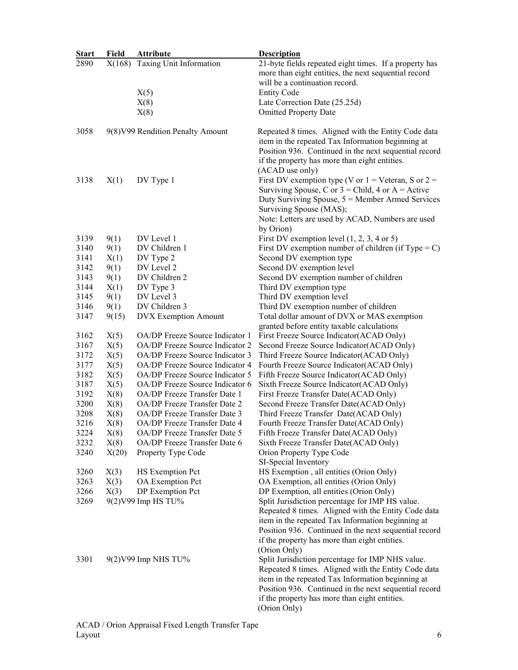| <b>Start</b> | <b>Field</b> | <b>Attribute</b>                  | <b>Description</b>                                                                                      |
|--------------|--------------|-----------------------------------|---------------------------------------------------------------------------------------------------------|
| 2890         | X(168)       | Taxing Unit Information           | 21-byte fields repeated eight times. If a property has                                                  |
|              |              |                                   | more than eight entities, the next sequential record                                                    |
|              |              |                                   | will be a continuation record.                                                                          |
|              |              | X(5)                              | <b>Entity Code</b>                                                                                      |
|              |              | X(8)                              | Late Correction Date (25.25d)                                                                           |
|              |              | X(8)                              | <b>Omitted Property Date</b>                                                                            |
|              |              |                                   |                                                                                                         |
| 3058         |              | 9(8) V99 Rendition Penalty Amount | Repeated 8 times. Aligned with the Entity Code data                                                     |
|              |              |                                   | item in the repeated Tax Information beginning at                                                       |
|              |              |                                   | Position 936. Continued in the next sequential record                                                   |
|              |              |                                   | if the property has more than eight entities.                                                           |
|              |              |                                   | (ACAD use only)                                                                                         |
| 3138         | X(1)         | DV Type 1                         | First DV exemption type (V or $1 =$ Veteran, S or $2 =$                                                 |
|              |              |                                   | Surviving Spouse, C or $3$ = Child, 4 or A = Active                                                     |
|              |              |                                   | Duty Surviving Spouse, $5 =$ Member Armed Services                                                      |
|              |              |                                   | Surviving Spouse (MAS);                                                                                 |
|              |              |                                   | Note: Letters are used by ACAD, Numbers are used                                                        |
|              |              |                                   | by Orion)                                                                                               |
| 3139         | 9(1)         | DV Level 1                        | First DV exemption level $(1, 2, 3, 4 \text{ or } 5)$                                                   |
| 3140         | 9(1)         | DV Children 1                     | First DV exemption number of children (if Type = $C$ )                                                  |
| 3141         | X(1)         | DV Type 2                         | Second DV exemption type                                                                                |
| 3142         | 9(1)         | DV Level 2                        | Second DV exemption level                                                                               |
| 3143         | 9(1)         | DV Children 2                     | Second DV exemption number of children                                                                  |
| 3144         | X(1)         | DV Type 3                         | Third DV exemption type                                                                                 |
| 3145         | 9(1)         | DV Level 3                        | Third DV exemption level                                                                                |
| 3146         | 9(1)         | DV Children 3                     | Third DV exemption number of children                                                                   |
| 3147         | 9(15)        | <b>DVX</b> Exemption Amount       | Total dollar amount of DVX or MAS exemption                                                             |
|              |              |                                   | granted before entity taxable calculations                                                              |
| 3162         | X(5)         | OA/DP Freeze Source Indicator 1   | First Freeze Source Indicator(ACAD Only)                                                                |
| 3167         | X(5)         | OA/DP Freeze Source Indicator 2   | Second Freeze Source Indicator(ACAD Only)                                                               |
| 3172         | X(5)         | OA/DP Freeze Source Indicator 3   | Third Freeze Source Indicator(ACAD Only)                                                                |
| 3177         | X(5)         | OA/DP Freeze Source Indicator 4   | Fourth Freeze Source Indicator(ACAD Only)                                                               |
| 3182         | X(5)         | OA/DP Freeze Source Indicator 5   | Fifth Freeze Source Indicator(ACAD Only)                                                                |
| 3187         | X(5)         | OA/DP Freeze Source Indicator 6   | Sixth Freeze Source Indicator(ACAD Only)                                                                |
| 3192         | X(8)         | OA/DP Freeze Transfer Date 1      | First Freeze Transfer Date(ACAD Only)                                                                   |
| 3200         | X(8)         | OA/DP Freeze Transfer Date 2      | Second Freeze Transfer Date(ACAD Only)                                                                  |
| 3208         | X(8)         | OA/DP Freeze Transfer Date 3      | Third Freeze Transfer Date(ACAD Only)                                                                   |
| 3216         | X(8)         | OA/DP Freeze Transfer Date 4      | Fourth Freeze Transfer Date(ACAD Only)                                                                  |
| 3224         | X(8)         | OA/DP Freeze Transfer Date 5      | Fifth Freeze Transfer Date(ACAD Only)                                                                   |
| 3232         | X(8)         | OA/DP Freeze Transfer Date 6      | Sixth Freeze Transfer Date(ACAD Only)                                                                   |
| 3240         | X(20)        | Property Type Code                | Orion Property Type Code                                                                                |
|              |              |                                   | SI-Special Inventory                                                                                    |
| 3260         | X(3)         | HS Exemption Pct                  | HS Exemption, all entities (Orion Only)                                                                 |
| 3263         | X(3)         | OA Exemption Pct                  | OA Exemption, all entities (Orion Only)                                                                 |
| 3266         | X(3)         | DP Exemption Pct                  | DP Exemption, all entities (Orion Only)                                                                 |
| 3269         |              | 9(2) V99 Imp HS TU%               | Split Jurisdiction percentage for IMP HS value.                                                         |
|              |              |                                   | Repeated 8 times. Aligned with the Entity Code data                                                     |
|              |              |                                   | item in the repeated Tax Information beginning at                                                       |
|              |              |                                   | Position 936. Continued in the next sequential record                                                   |
|              |              |                                   | if the property has more than eight entities.                                                           |
|              |              |                                   | (Orion Only)                                                                                            |
| 3301         |              | 9(2) V99 Imp NHS TU%              | Split Jurisdiction percentage for IMP NHS value.<br>Repeated 8 times. Aligned with the Entity Code data |
|              |              |                                   | item in the repeated Tax Information beginning at                                                       |
|              |              |                                   | Position 936. Continued in the next sequential record                                                   |
|              |              |                                   | if the property has more than eight entities.                                                           |
|              |              |                                   | (Orion Only)                                                                                            |
|              |              |                                   |                                                                                                         |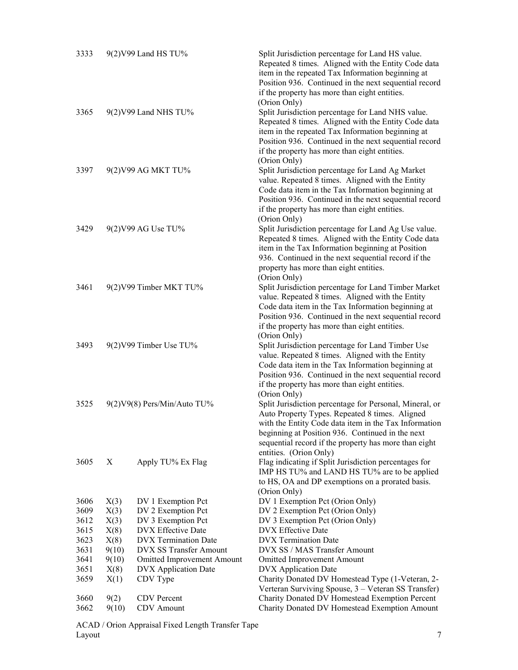| 3333 |       | 9(2) V99 Land HS TU%              | Split Jurisdiction percentage for Land HS value.<br>Repeated 8 times. Aligned with the Entity Code data<br>item in the repeated Tax Information beginning at<br>Position 936. Continued in the next sequential record               |
|------|-------|-----------------------------------|-------------------------------------------------------------------------------------------------------------------------------------------------------------------------------------------------------------------------------------|
|      |       |                                   | if the property has more than eight entities.                                                                                                                                                                                       |
|      |       |                                   | (Orion Only)                                                                                                                                                                                                                        |
| 3365 |       | 9(2) V99 Land NHS TU%             | Split Jurisdiction percentage for Land NHS value.<br>Repeated 8 times. Aligned with the Entity Code data<br>item in the repeated Tax Information beginning at<br>Position 936. Continued in the next sequential record              |
|      |       |                                   | if the property has more than eight entities.                                                                                                                                                                                       |
| 3397 |       | 9(2) V99 AG MKT TU%               | (Orion Only)<br>Split Jurisdiction percentage for Land Ag Market<br>value. Repeated 8 times. Aligned with the Entity<br>Code data item in the Tax Information beginning at<br>Position 936. Continued in the next sequential record |
|      |       |                                   | if the property has more than eight entities.                                                                                                                                                                                       |
| 3429 |       | 9(2) V99 AG Use TU%               | (Orion Only)<br>Split Jurisdiction percentage for Land Ag Use value.                                                                                                                                                                |
|      |       |                                   | Repeated 8 times. Aligned with the Entity Code data<br>item in the Tax Information beginning at Position<br>936. Continued in the next sequential record if the<br>property has more than eight entities.                           |
|      |       |                                   | (Orion Only)                                                                                                                                                                                                                        |
| 3461 |       | 9(2) V99 Timber MKT TU%           | Split Jurisdiction percentage for Land Timber Market<br>value. Repeated 8 times. Aligned with the Entity<br>Code data item in the Tax Information beginning at                                                                      |
|      |       |                                   | Position 936. Continued in the next sequential record<br>if the property has more than eight entities.<br>(Orion Only)                                                                                                              |
| 3493 |       | 9(2) V99 Timber Use TU%           | Split Jurisdiction percentage for Land Timber Use<br>value. Repeated 8 times. Aligned with the Entity<br>Code data item in the Tax Information beginning at                                                                         |
|      |       |                                   | Position 936. Continued in the next sequential record                                                                                                                                                                               |
|      |       |                                   | if the property has more than eight entities.                                                                                                                                                                                       |
|      |       |                                   | (Orion Only)                                                                                                                                                                                                                        |
| 3525 |       | 9(2) V9(8) Pers/Min/Auto TU%      | Split Jurisdiction percentage for Personal, Mineral, or<br>Auto Property Types. Repeated 8 times. Aligned                                                                                                                           |
|      |       |                                   | with the Entity Code data item in the Tax Information<br>beginning at Position 936. Continued in the next                                                                                                                           |
|      |       |                                   | sequential record if the property has more than eight<br>entities. (Orion Only)                                                                                                                                                     |
| 3605 | Χ     | Apply TU% Ex Flag                 | Flag indicating if Split Jurisdiction percentages for<br>IMP HS TU% and LAND HS TU% are to be applied                                                                                                                               |
|      |       |                                   | to HS, OA and DP exemptions on a prorated basis.                                                                                                                                                                                    |
| 3606 | X(3)  | DV 1 Exemption Pct                | (Orion Only)<br>DV 1 Exemption Pct (Orion Only)                                                                                                                                                                                     |
| 3609 | X(3)  | DV 2 Exemption Pct                | DV 2 Exemption Pct (Orion Only)                                                                                                                                                                                                     |
| 3612 | X(3)  | DV 3 Exemption Pct                | DV 3 Exemption Pct (Orion Only)                                                                                                                                                                                                     |
| 3615 | X(8)  | DVX Effective Date                | <b>DVX</b> Effective Date                                                                                                                                                                                                           |
| 3623 | X(8)  | <b>DVX</b> Termination Date       | <b>DVX</b> Termination Date                                                                                                                                                                                                         |
| 3631 | 9(10) | <b>DVX SS Transfer Amount</b>     | DVX SS / MAS Transfer Amount                                                                                                                                                                                                        |
| 3641 | 9(10) | <b>Omitted Improvement Amount</b> | <b>Omitted Improvement Amount</b>                                                                                                                                                                                                   |
| 3651 | X(8)  | <b>DVX</b> Application Date       | <b>DVX</b> Application Date                                                                                                                                                                                                         |
| 3659 | X(1)  | CDV Type                          | Charity Donated DV Homestead Type (1-Veteran, 2-                                                                                                                                                                                    |
|      |       |                                   | Verteran Surviving Spouse, 3 - Veteran SS Transfer)                                                                                                                                                                                 |
| 3660 | 9(2)  | <b>CDV</b> Percent                | Charity Donated DV Homestead Exemption Percent                                                                                                                                                                                      |
| 3662 | 9(10) | <b>CDV</b> Amount                 | Charity Donated DV Homestead Exemption Amount                                                                                                                                                                                       |

ACAD / Orion Appraisal Fixed Length Transfer Tape  $\mu$  Layout 2008, and  $\mu$  2008, and  $\mu$  2008, and  $\mu$  2008, and  $\mu$  2008, and  $\mu$  2008, and  $\mu$  2008, and  $\mu$  2008, and  $\mu$  2008, and  $\mu$  2008, and  $\mu$  2008, and  $\mu$  2008, and  $\mu$  2008, and  $\mu$  2008, and  $\mu$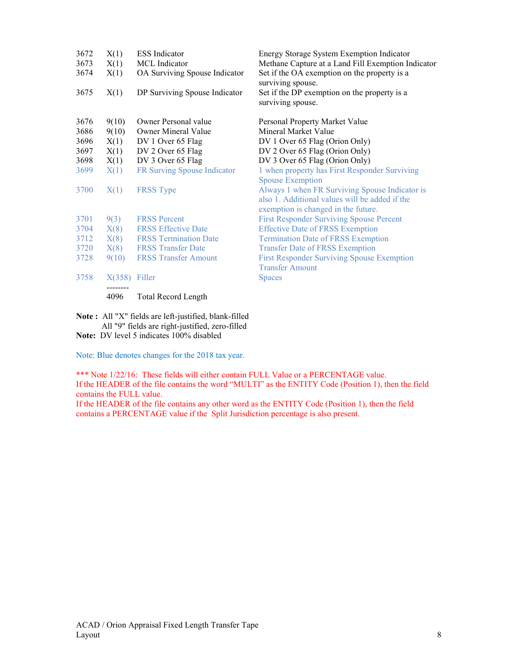| 3672 | X(1)            | <b>ESS</b> Indicator          | Energy Storage System Exemption Indicator                         |
|------|-----------------|-------------------------------|-------------------------------------------------------------------|
| 3673 | X(1)            | MCL Indicator                 | Methane Capture at a Land Fill Exemption Indicator                |
| 3674 | X(1)            | OA Surviving Spouse Indicator | Set if the OA exemption on the property is a<br>surviving spouse. |
| 3675 | X(1)            | DP Surviving Spouse Indicator | Set if the DP exemption on the property is a<br>surviving spouse. |
| 3676 | 9(10)           | Owner Personal value          | Personal Property Market Value                                    |
| 3686 | 9(10)           | <b>Owner Mineral Value</b>    | Mineral Market Value                                              |
| 3696 | X(1)            | DV 1 Over 65 Flag             | DV 1 Over 65 Flag (Orion Only)                                    |
| 3697 | X(1)            | DV 2 Over 65 Flag             | DV 2 Over 65 Flag (Orion Only)                                    |
| 3698 | X(1)            | DV 3 Over 65 Flag             | DV 3 Over 65 Flag (Orion Only)                                    |
| 3699 | X(1)            | FR Surving Spouse Indicator   | 1 when property has First Responder Surviving                     |
|      |                 |                               | <b>Spouse Exemption</b>                                           |
| 3700 | X(1)            | <b>FRSS</b> Type              | Always 1 when FR Surviving Spouse Indicator is                    |
|      |                 |                               | also 1. Additional values will be added if the                    |
|      |                 |                               | exemption is changed in the future.                               |
| 3701 | 9(3)            | <b>FRSS Percent</b>           | <b>First Responder Surviving Spouse Percent</b>                   |
| 3704 | X(8)            | <b>FRSS Effective Date</b>    | <b>Effective Date of FRSS Exemption</b>                           |
| 3712 | X(8)            | <b>FRSS Termination Date</b>  | <b>Termination Date of FRSS Exemption</b>                         |
| 3720 | X(8)            | <b>FRSS Transfer Date</b>     | <b>Transfer Date of FRSS Exemption</b>                            |
| 3728 | 9(10)           | <b>FRSS Transfer Amount</b>   | <b>First Responder Surviving Spouse Exemption</b>                 |
|      |                 |                               | <b>Transfer Amount</b>                                            |
| 3758 | $X(358)$ Filler |                               | <b>Spaces</b>                                                     |
|      | 4096            | <b>Total Record Length</b>    |                                                                   |

Note : All "X" fields are left-justified, blank-filled All "9" fields are right-justified, zero-filled

Note: DV level 5 indicates 100% disabled

Note: Blue denotes changes for the 2018 tax year.

\*\*\* Note  $1/22/16$ : These fields will either contain FULL Value or a PERCENTAGE value. If the HEADER of the file contains the word "MULTI" as the ENTITY Code (Position 1), then the field contains the FULL value.

If the HEADER of the file contains any other word as the ENTITY Code (Position 1), then the field contains a PERCENTAGE value if the Split Jurisdiction percentage is also present.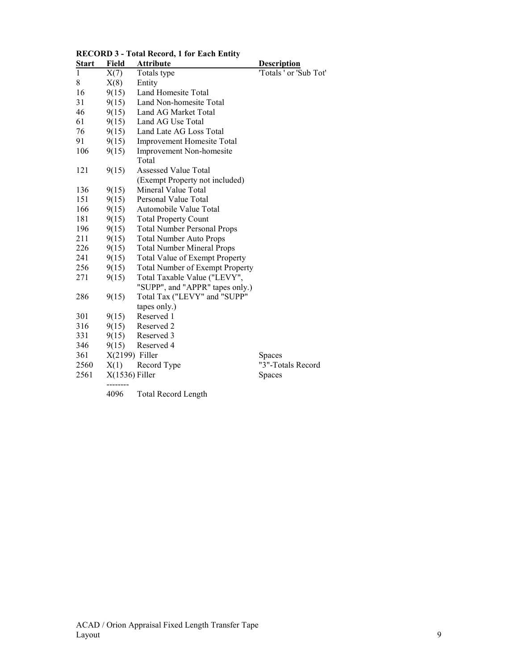| <u>Start</u> | Field            | <b>Attribute</b>                   | <b>Description</b>     |
|--------------|------------------|------------------------------------|------------------------|
| 1            | X(7)             | Totals type                        | 'Totals ' or 'Sub Tot' |
| 8            | X(8)             | Entity                             |                        |
| 16           | 9(15)            | Land Homesite Total                |                        |
| 31           | 9(15)            | Land Non-homesite Total            |                        |
| 46           | 9(15)            | Land AG Market Total               |                        |
| 61           | 9(15)            | Land AG Use Total                  |                        |
| 76           | 9(15)            | Land Late AG Loss Total            |                        |
| 91           | 9(15)            | <b>Improvement Homesite Total</b>  |                        |
| 106          | 9(15)            | Improvement Non-homesite           |                        |
|              |                  | Total                              |                        |
| 121          | 9(15)            | Assessed Value Total               |                        |
|              |                  | (Exempt Property not included)     |                        |
| 136          | 9(15)            | Mineral Value Total                |                        |
| 151          | 9(15)            | Personal Value Total               |                        |
| 166          | 9(15)            | Automobile Value Total             |                        |
| 181          | 9(15)            | <b>Total Property Count</b>        |                        |
| 196          | 9(15)            | <b>Total Number Personal Props</b> |                        |
| 211          | 9(15)            | <b>Total Number Auto Props</b>     |                        |
| 226          | 9(15)            | <b>Total Number Mineral Props</b>  |                        |
| 241          | 9(15)            | Total Value of Exempt Property     |                        |
| 256          | 9(15)            | Total Number of Exempt Property    |                        |
| 271          | 9(15)            | Total Taxable Value ("LEVY",       |                        |
|              |                  | "SUPP", and "APPR" tapes only.)    |                        |
| 286          | 9(15)            | Total Tax ("LEVY" and "SUPP"       |                        |
|              |                  | tapes only.)                       |                        |
| 301          | 9(15)            | Reserved 1                         |                        |
| 316          | 9(15)            | Reserved 2                         |                        |
| 331          | 9(15)            | Reserved 3                         |                        |
| 346          | 9(15)            | Reserved 4                         |                        |
| 361          | $X(2199)$ Filler |                                    | Spaces                 |
| 2560         | X(1)             | Record Type                        | "3"-Totals Record      |
| 2561         | $X(1536)$ Filler |                                    | Spaces                 |
|              |                  |                                    |                        |
|              | 4096             | <b>Total Record Length</b>         |                        |

# RECORD 3 - Total Record, 1 for Each Entity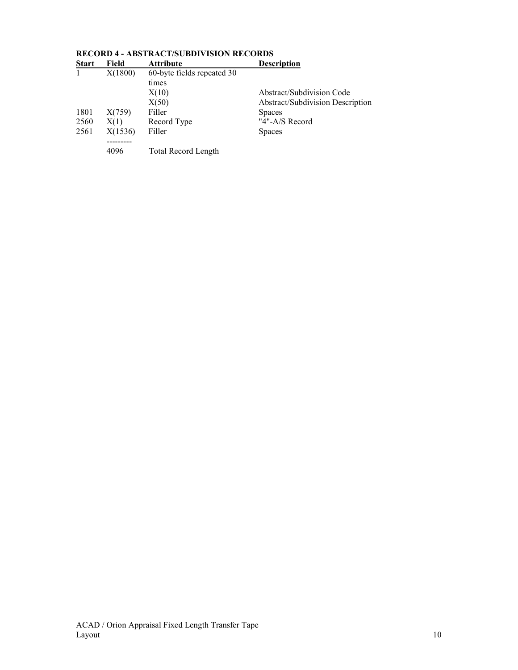| мин с | r ru    |                            | ремирион                                |
|-------|---------|----------------------------|-----------------------------------------|
|       | X(1800) | 60-byte fields repeated 30 |                                         |
|       |         | times                      |                                         |
|       |         | X(10)                      | Abstract/Subdivision Code               |
|       |         | X(50)                      | <b>Abstract/Subdivision Description</b> |
| 1801  | X(759)  | Filler                     | <b>Spaces</b>                           |
| 2560  | X(1)    | Record Type                | "4"-A/S Record                          |
| 2561  | X(1536) | Filler                     | <b>Spaces</b>                           |
|       |         |                            |                                         |
|       | 4096    | <b>Total Record Length</b> |                                         |

### RECORD 4 - ABSTRACT/SUBDIVISION RECORDS **Start Field Attribute Description**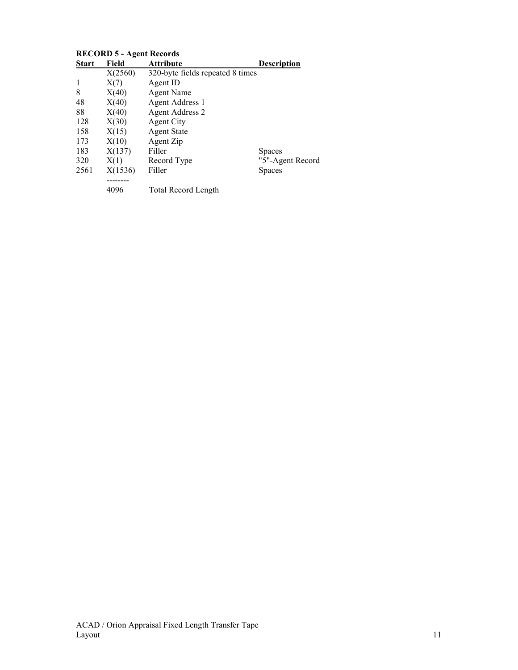| <b>Start</b> | Field   | <b>Attribute</b>                 | <b>Description</b> |
|--------------|---------|----------------------------------|--------------------|
|              | X(2560) | 320-byte fields repeated 8 times |                    |
|              | X(7)    | Agent ID                         |                    |
| 8            | X(40)   | <b>Agent Name</b>                |                    |
| 48           | X(40)   | Agent Address 1                  |                    |
| 88           | X(40)   | <b>Agent Address 2</b>           |                    |
| 128          | X(30)   | <b>Agent City</b>                |                    |
| 158          | X(15)   | <b>Agent State</b>               |                    |
| 173          | X(10)   | Agent Zip                        |                    |
| 183          | X(137)  | Filler                           | <b>Spaces</b>      |
| 320          | X(1)    | Record Type                      | "5"-Agent Record   |
| 2561         | X(1536) | Filler                           | <b>Spaces</b>      |
|              |         |                                  |                    |
|              | 4096    | Total Record Length              |                    |

# RECORD 5 - Agent Records